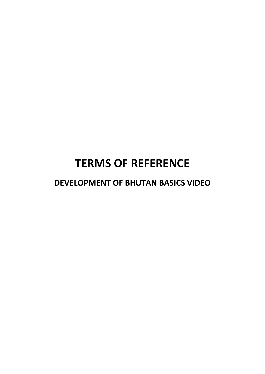# **TERMS OF REFERENCE**

**DEVELOPMENT OF BHUTAN BASICS VIDEO**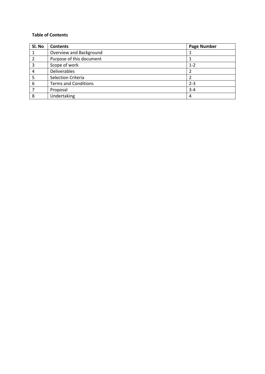# **Table of Contents**

| Sl. No | <b>Contents</b>             | <b>Page Number</b> |
|--------|-----------------------------|--------------------|
|        | Overview and Background     |                    |
| 2      | Purpose of this document    |                    |
| 3      | Scope of work               | $1 - 2$            |
| 4      | <b>Deliverables</b>         | 2                  |
|        | Selection Criteria          |                    |
| 6      | <b>Terms and Conditions</b> | $2 - 3$            |
|        | Proposal                    | $3 - 4$            |
| 8      | Undertaking                 | 4                  |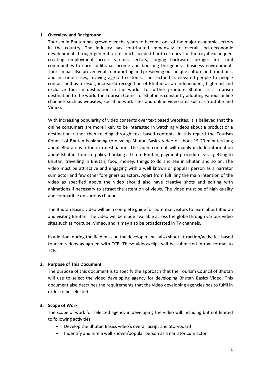#### **1. Overview and Background**

Tourism in Bhutan has grown over the years to become one of the major economic sectors in the country. The industry has contributed immensely to overall socio-economic development through generation of much needed hard currency for the royal exchequer, creating employment across various sectors, forging backward linkages for rural communities to earn additional income and boosting the general business environment. Tourism has also proven vital in promoting and preserving our unique culture and traditions, and in some cases, reviving age-old customs. The sector has elevated people to people contact and as a result, increased recognition of Bhutan as an independent, high-end and exclusive tourism destination in the world. To further promote Bhutan as a tourism destination to the world the Tourism Council of Bhutan is constantly adopting various online channels such as websites, social network sites and online video sites such as Youtube and Vimeo.

With increasing popularity of video contents over text based websites, it is believed that the online consumers are more likely to be interested in watching videos about a product or a destination rather than reading through text based contents. In this regard the Tourism Council of Bhutan is planning to develop Bhutan Basics Video of about 15-20 minutes long about Bhutan as a tourism destination. The video content will mainly include information about Bhutan, tourism policy, booking a trip to Bhutan, payment procedure, visa, getting to Bhutan, travelling in Bhutan, food, money, things to do and see in Bhutan and so on. The video must be attractive and engaging with a well known or popular person as a narrator cum actor and few other foreigners as actors. Apart from fulfilling the main intention of the video as specified above the video should also have creative shots and editing with animations if necessary to attract the attention of views. The video must be of high quality and compatible on various channels.

The Bhutan Basics video will be a complete guide for potential visitors to learn about Bhutan and visiting Bhutan. The video will be made available across the globe through various video sites such as Youtube, Vimeo, and it may also be broadcasted in TV channels.

In addition, during the field mission the developer shall also shoot attraction/activities-based tourism videos as agreed with TCB. These videos/clips will be submitted in raw format to TCB.

## **2. Purpose of This Document**

The purpose of this document is to specify the approach that the Tourism Council of Bhutan will use to select the video developing agency for developing Bhutan Basics Video. This document also describes the requirements that the video developing agencies has to fulfil in order to be selected.

## **3. Scope of Work**

The scope of work for selected agency in developing the video will including but not limited to following activities.

- Develop the Bhutan Basics video's overall Script and Storyboard
- Indentify and hire a well known/popular person as a narrator cum actor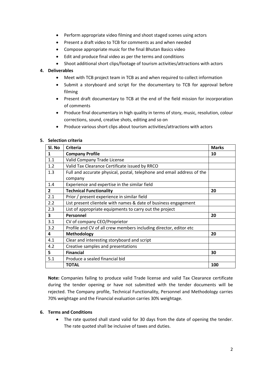- Perform appropriate video filming and shoot staged scenes using actors
- Present a draft video to TCB for comments as and when needed
- Compose appropriate music for the final Bhutan Basics video
- Edit and produce final video as per the terms and conditions
- Shoot additional short clips/footage of tourism activities/attractions with actors

# **4. Deliverables**

- Meet with TCB project team in TCB as and when required to collect information
- Submit a storyboard and script for the documentary to TCB for approval before filming
- Present draft documentary to TCB at the end of the field mission for incorporation of comments
- Produce final documentary in high quality in terms of story, music, resolution, colour corrections, sound, creative shots, editing and so on
- Produce various short clips about tourism activities/attractions with actors

## **5. Selection criteria**

| Sl. No       | <b>Criteria</b>                                                        | <b>Marks</b> |
|--------------|------------------------------------------------------------------------|--------------|
| 1            | <b>Company Profile</b>                                                 | 10           |
| 1.1          | Valid Company Trade License                                            |              |
| 1.2          | Valid Tax Clearance Certificate issued by RRCO                         |              |
| 1.3          | Full and accurate physical, postal, telephone and email address of the |              |
|              | company                                                                |              |
| 1.4          | Experience and expertise in the similar field                          |              |
| $\mathbf{2}$ | <b>Technical Functionality</b>                                         | 20           |
| 2.1          | Prior / present experience in similar field                            |              |
| 2.2          | List present clientele with names & date of business engagement        |              |
| 2.3          | List of appropriate equipments to carry out the project                |              |
| 3            | <b>Personnel</b>                                                       | 20           |
| 3.1          | CV of company CEO/Proprietor                                           |              |
| 3.2          | Profile and CV of all crew members including director, editor etc      |              |
| 4            | Methodology                                                            | 20           |
| 4.1          | Clear and interesting storyboard and script                            |              |
| 4.2          | Creative samples and presentations                                     |              |
| 5.           | <b>Financial</b>                                                       | 30           |
| 5.1          | Produce a sealed financial bid                                         |              |
|              | <b>TOTAL</b>                                                           | 100          |

**Note:** Companies failing to produce valid Trade license and valid Tax Clearance certificate during the tender opening or have not submitted with the tender documents will be rejected. The Company profile, Technical Functionality, Personnel and Methodology carries 70% weightage and the Financial evaluation carries 30% weightage.

## **6. Terms and Conditions**

 The rate quoted shall stand valid for 30 days from the date of opening the tender. The rate quoted shall be inclusive of taxes and duties.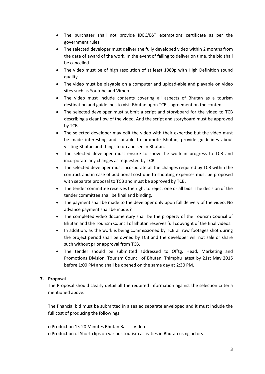- The purchaser shall not provide IDEC/BST exemptions certificate as per the government rules
- The selected developer must deliver the fully developed video within 2 months from the date of award of the work. In the event of failing to deliver on time, the bid shall be cancelled.
- The video must be of high resolution of at least 1080p with High Definition sound quality.
- The video must be playable on a computer and upload-able and playable on video sites such as Youtube and Vimeo.
- The video must include contents covering all aspects of Bhutan as a tourism destination and guidelines to visit Bhutan upon TCB's agreement on the content
- The selected developer must submit a script and storyboard for the video to TCB describing a clear flow of the video. And the script and storyboard must be approved by TCB.
- The selected developer may edit the video with their expertise but the video must be made interesting and suitable to promote Bhutan, provide guidelines about visiting Bhutan and things to do and see in Bhutan.
- The selected developer must ensure to show the work in progress to TCB and incorporate any changes as requested by TCB.
- The selected developer must incorporate all the changes required by TCB within the contract and in case of additional cost due to shooting expenses must be proposed with separate proposal to TCB and must be approved by TCB.
- The tender committee reserves the right to reject one or all bids. The decision of the tender committee shall be final and binding.
- The payment shall be made to the developer only upon full delivery of the video. No advance payment shall be made.?
- The completed video documentary shall be the property of the Tourism Council of Bhutan and the Tourism Council of Bhutan reserves full copyright of the final videos.
- In addition, as the work is being commissioned by TCB all raw footages shot during the project period shall be owned by TCB and the developer will not sale or share such without prior approval from TCB.
- The tender should be submitted addressed to Offtg. Head, Marketing and Promotions Division, Tourism Council of Bhutan, Thimphu latest by 21st May 2015 before 1:00 PM and shall be opened on the same day at 2:30 PM.

# **7. Proposal**

The Proposal should clearly detail all the required information against the selection criteria mentioned above.

The financial bid must be submitted in a sealed separate enveloped and it must include the full cost of producing the followings:

- o Production 15-20 Minutes Bhutan Basics Video
- o Production of Short clips on various tourism activities in Bhutan using actors